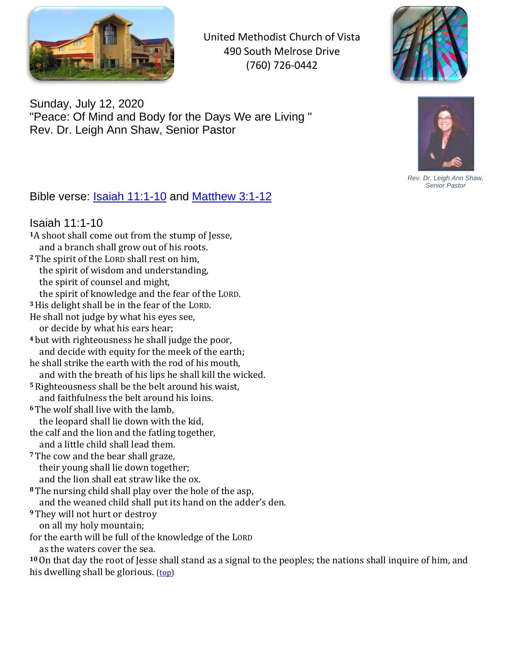

United Methodist Church of Vista 490 South Melrose Drive (760) 726-0442



Sunday, July 12, 2020 "Peace: Of Mind and Body for the Days We are Living " Rev. Dr. Leigh Ann Shaw, Senior Pastor



*Rev. Dr. Leigh Ann Shaw, Senior Pastor*

## <span id="page-0-1"></span>Bible verse: [Isaiah 11:1-10](#page-0-0) and [Matthew 3:1-12](#page-1-0)

## <span id="page-0-0"></span>Isaiah 11:1-10

- **<sup>1</sup>**A shoot shall come out from the stump of Jesse, and a branch shall grow out of his roots. **<sup>2</sup>** The spirit of the LORD shall rest on him, the spirit of wisdom and understanding, the spirit of counsel and might, the spirit of knowledge and the fear of the LORD. **<sup>3</sup>**His delight shall be in the fear of the LORD. He shall not judge by what his eyes see,
- or decide by what his ears hear;
- **<sup>4</sup>** but with righteousness he shall judge the poor, and decide with equity for the meek of the earth;
- he shall strike the earth with the rod of his mouth, and with the breath of his lips he shall kill the wicked.
- **<sup>5</sup>**Righteousness shall be the belt around his waist, and faithfulness the belt around his loins.
- **<sup>6</sup>** The wolf shall live with the lamb, the leopard shall lie down with the kid,
- the calf and the lion and the fatling together, and a little child shall lead them.
- **<sup>7</sup>** The cow and the bear shall graze, their young shall lie down together; and the lion shall eat straw like the ox.
- **<sup>8</sup>** The nursing child shall play over the hole of the asp, and the weaned child shall put its hand on the adder's den.
- **<sup>9</sup>** They will not hurt or destroy
- on all my holy mountain;
- for the earth will be full of the knowledge of the LORD
	- as the waters cover the sea.

**<sup>10</sup>**On that day the root of Jesse shall stand as a signal to the peoples; the nations shall inquire of him, and his dwelling shall be glorious. [\(top\)](#page-0-1)